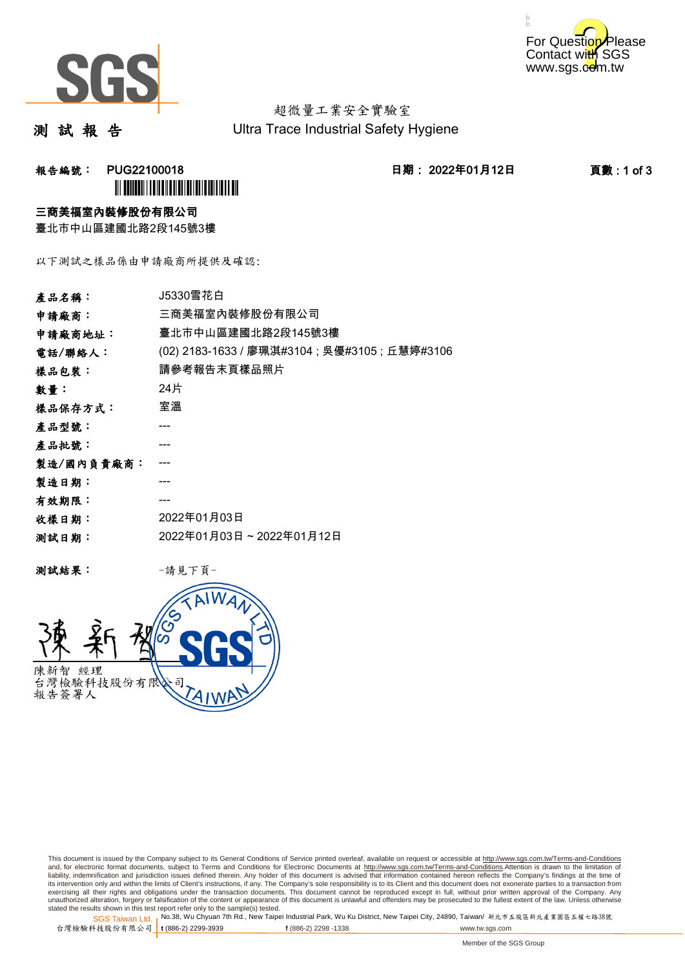



超微量工業安全實驗室 Ultra Trace Industrial Safety Hygiene

測 試 報 告

### 报告編號: PUG22100018 2022年01月12日 1期: 2022年01月12日 1919 1919 1929 ÌPUG22100018/Î

三商美福室內裝修股份有限公司

臺北市中山區建國北路2段145號3樓

以下測試之樣品係由申請廠商所提供及確認:

| 產品名稱:      | J5330雪花白                                       |  |
|------------|------------------------------------------------|--|
| 申請廠商:      | 三商美福室內裝修股份有限公司                                 |  |
| 申請廠商地址:    | 臺北市中山區建國北路2段145號3樓                             |  |
| 電話/聯絡人:    | (02) 2183-1633 / 廖珮淇#3104 ; 吳優#3105 ; 丘慧婷#3106 |  |
| 樣品包裝:      | 請參考報告末頁樣品照片                                    |  |
| 數量:        | 24片                                            |  |
| 樣品保存方式:    | 室溫                                             |  |
| 產品型號:      |                                                |  |
| 產品批號:      |                                                |  |
| 製造/國內負責廠商: |                                                |  |
| 製造日期:      |                                                |  |
| 有效期限:      |                                                |  |
| 收樣日期:      | 2022年01月03日                                    |  |
| 测試日期:      | 2022年01月03日~2022年01月12日                        |  |

測試結果: -請見下頁-



This document is issued by the Company subject to its General Conditions of Service printed overleaf, available on request or accessible at http://www.sgs.com.tw/Terms-and-Conditions and, for electronic format documents, subject to Terms and Conditions for Electronic Documents at <u>http://www.sgs.com.tw/Terms-and-Conditions</u>.Attention is drawn to the limitation of<br>liability, indemnification and jurisdic exercising all their rights and obligations under the transaction documents. This document cannot be reproduced except in full, without prior written approval of the Company. Any<br>unauthorized alteration, forgery or falsifi

SGS Taiwan Ltd. 1 stated the results shown in this test report refer only to the sample(s) tested.<br>Stated the results shown in this test report refer only to the sample(s) tested.

台灣檢驗科技股份有限公司

**t** (886-2) 2299-3939 **f** (886-2) 2298 -1338 www.tw.sgs.com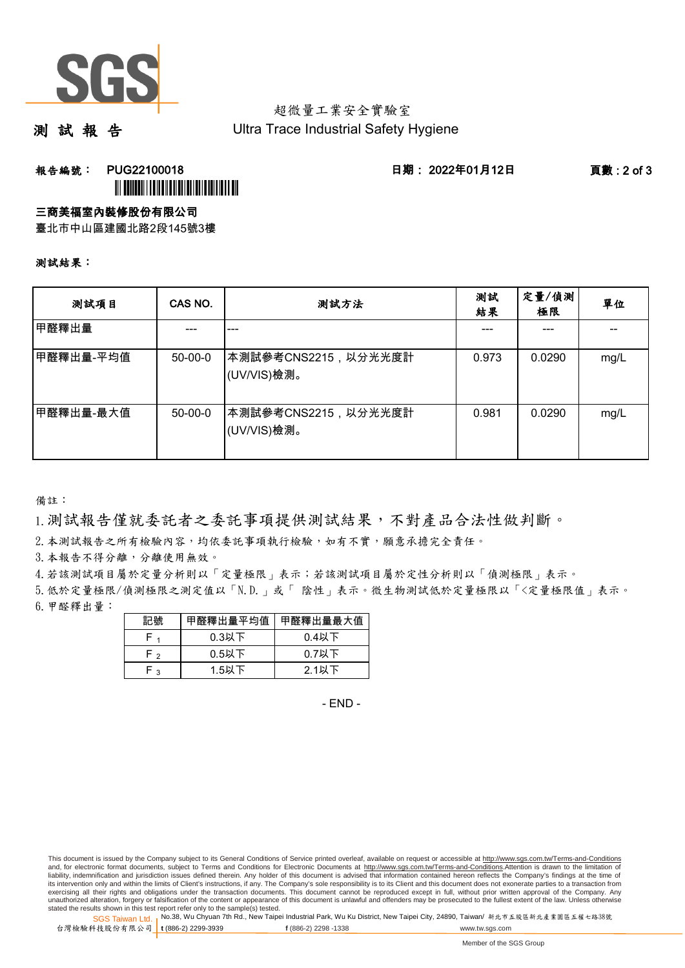

# 超微量工業安全實驗室

測 試 報 告

Ultra Trace Industrial Safety Hygiene

報告編號: PUG22100018 日期: 2022年01月12日 頁數 : 2 of 3

## ÌPUG22100018/Î

三商美福室內裝修股份有限公司

臺北市中山區建國北路2段145號3樓

#### 測試結果:

| 测試項目      | CAS NO.   | 测試方法                               | 测試<br>結果 | 定量/偵測<br>極限 | 單位   |
|-----------|-----------|------------------------------------|----------|-------------|------|
| 甲醛釋出量     |           | ---                                |          |             |      |
| 甲醛釋出量-平均值 | $50-00-0$ | 本測試參考CNS2215,以分光光度計<br>(UV/VIS)檢測。 | 0.973    | 0.0290      | mg/L |
| 甲醛釋出量-最大值 | $50-00-0$ | 本測試參考CNS2215,以分光光度計<br>(UV/VIS)檢測。 | 0.981    | 0.0290      | mg/L |

備註:

1.測試報告僅就委託者之委託事項提供測試結果,不對產品合法性做判斷。

2.本測試報告之所有檢驗內容,均依委託事項執行檢驗,如有不實,願意承擔完全責任。

3. 本報告不得分離,分離使用無效。

4.若該測試項目屬於定量分析則以「定量極限」表示;若該測試項目屬於定性分析則以「偵測極限」表示。

5.低於定量極限/偵測極限之測定值以「N.D.」或「 陰性」表示。微生物測試低於定量極限以「<定量極限值」表示。

6.甲醛釋出量:

| 記號  | 甲醛釋出量平均值 | 甲醛釋出量最大值 |
|-----|----------|----------|
|     | $0.3$ 以下 | $0.4$ 以下 |
| F۰  | $0.5$ 以下 | $0.7$ 以下 |
| ່ າ | 1.5以下    | $2.1$ 以下 |

- END -

This document is issued by the Company subject to its General Conditions of Service printed overleaf, available on request or accessible at http://www.sgs.com.tw/Terms-and-Conditions and, for electronic format documents, subject to Terms and Conditions for Electronic Documents at http://www.sgs.com.tw/Terms-and-Conditions.Attention is drawn to the limitation of liability, indemnification and jurisdiction issues defined therein. Any holder of this document is advised that information contained hereon reflects the Company's findings at the time of<br>its intervention only and within t exercising all their rights and obligations under the transaction documents. This document cannot be reproduced except in full, without prior written approval of the Company. Any<br>unauthorized alteration, forgery or falsifi

SGS Taiwan Ltd. 1 stated the results shown in this test report refer only to the sample(s) tested.<br>Stated the results shown in this test report refer only to the sample(s) tested.

台灣檢驗科技股份有限公司

**t** (886-2) 2299-3939 **f** (886-2) 2298 -1338 www.tw.sgs.com